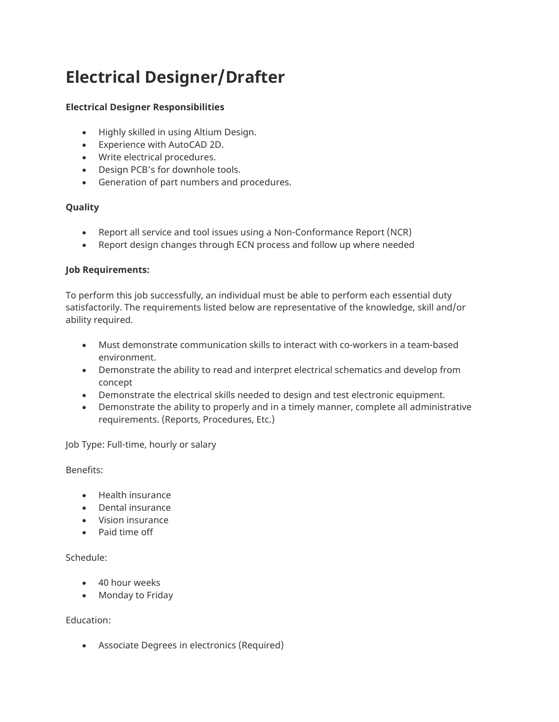# Electrical Designer/Drafter

## Electrical Designer Responsibilities

- Highly skilled in using Altium Design.
- Experience with AutoCAD 2D.
- Write electrical procedures.
- Design PCB's for downhole tools.
- Generation of part numbers and procedures.

## Quality

- Report all service and tool issues using a Non-Conformance Report (NCR)
- Report design changes through ECN process and follow up where needed

## Job Requirements:

To perform this job successfully, an individual must be able to perform each essential duty satisfactorily. The requirements listed below are representative of the knowledge, skill and/or ability required.

- Must demonstrate communication skills to interact with co-workers in a team-based environment.
- Demonstrate the ability to read and interpret electrical schematics and develop from concept
- Demonstrate the electrical skills needed to design and test electronic equipment.
- Demonstrate the ability to properly and in a timely manner, complete all administrative requirements. (Reports, Procedures, Etc.)

Job Type: Full-time, hourly or salary

#### Benefits:

- Health insurance
- Dental insurance
- Vision insurance
- Paid time off

#### Schedule:

- 40 hour weeks
- Monday to Friday

### Education:

Associate Degrees in electronics (Required)